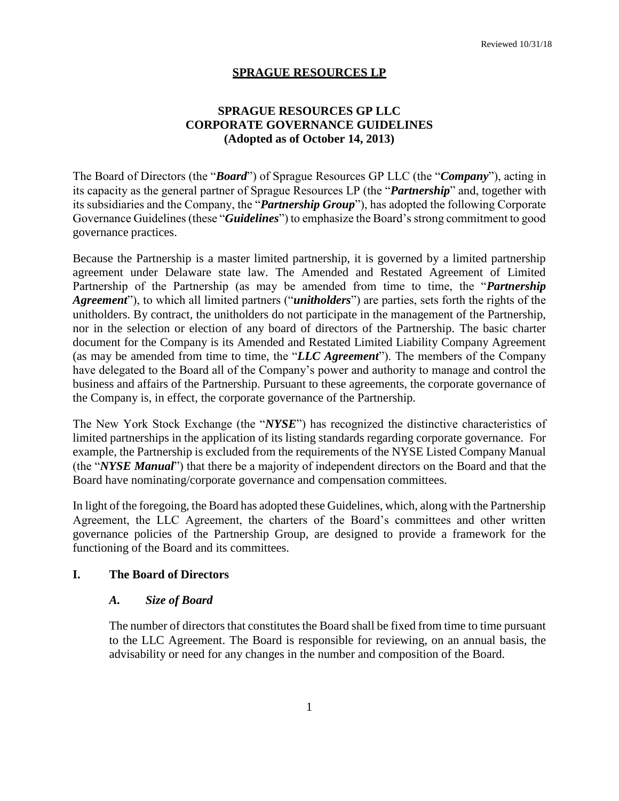#### **SPRAGUE RESOURCES LP**

#### **SPRAGUE RESOURCES GP LLC CORPORATE GOVERNANCE GUIDELINES (Adopted as of October 14, 2013)**

The Board of Directors (the "*Board*") of Sprague Resources GP LLC (the "*Company*"), acting in its capacity as the general partner of Sprague Resources LP (the "*Partnership*" and, together with its subsidiaries and the Company, the "*Partnership Group*"), has adopted the following Corporate Governance Guidelines (these "*Guidelines*") to emphasize the Board's strong commitment to good governance practices.

Because the Partnership is a master limited partnership, it is governed by a limited partnership agreement under Delaware state law. The Amended and Restated Agreement of Limited Partnership of the Partnership (as may be amended from time to time, the "*Partnership Agreement*"), to which all limited partners ("*unitholders*") are parties, sets forth the rights of the unitholders. By contract, the unitholders do not participate in the management of the Partnership, nor in the selection or election of any board of directors of the Partnership. The basic charter document for the Company is its Amended and Restated Limited Liability Company Agreement (as may be amended from time to time, the "*LLC Agreement*"). The members of the Company have delegated to the Board all of the Company's power and authority to manage and control the business and affairs of the Partnership. Pursuant to these agreements, the corporate governance of the Company is, in effect, the corporate governance of the Partnership.

The New York Stock Exchange (the "*NYSE*") has recognized the distinctive characteristics of limited partnerships in the application of its listing standards regarding corporate governance. For example, the Partnership is excluded from the requirements of the NYSE Listed Company Manual (the "*NYSE Manual*") that there be a majority of independent directors on the Board and that the Board have nominating/corporate governance and compensation committees.

In light of the foregoing, the Board has adopted these Guidelines, which, along with the Partnership Agreement, the LLC Agreement, the charters of the Board's committees and other written governance policies of the Partnership Group, are designed to provide a framework for the functioning of the Board and its committees.

#### **I. The Board of Directors**

#### *A. Size of Board*

The number of directors that constitutes the Board shall be fixed from time to time pursuant to the LLC Agreement. The Board is responsible for reviewing, on an annual basis, the advisability or need for any changes in the number and composition of the Board.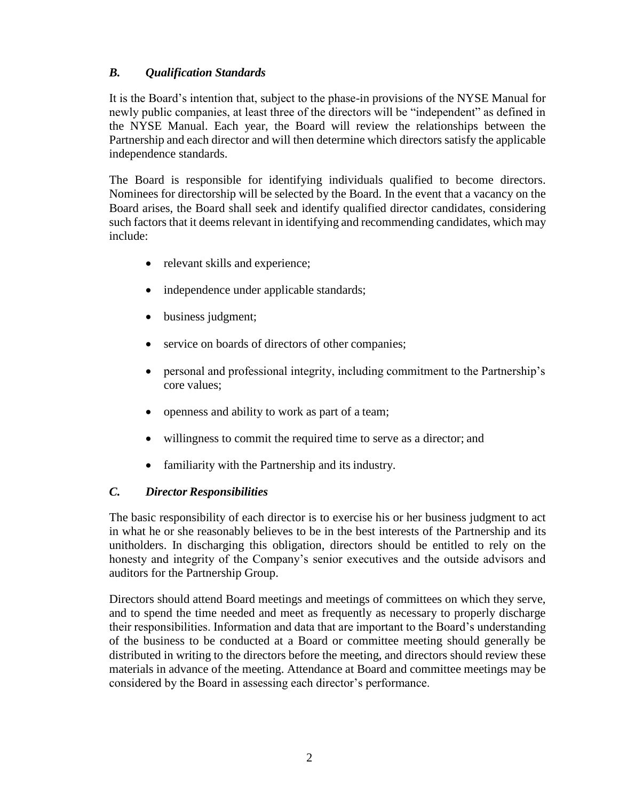## *B. Qualification Standards*

It is the Board's intention that, subject to the phase-in provisions of the NYSE Manual for newly public companies, at least three of the directors will be "independent" as defined in the NYSE Manual. Each year, the Board will review the relationships between the Partnership and each director and will then determine which directors satisfy the applicable independence standards.

The Board is responsible for identifying individuals qualified to become directors. Nominees for directorship will be selected by the Board. In the event that a vacancy on the Board arises, the Board shall seek and identify qualified director candidates, considering such factors that it deems relevant in identifying and recommending candidates, which may include:

- relevant skills and experience;
- independence under applicable standards;
- business judgment;
- service on boards of directors of other companies;
- personal and professional integrity, including commitment to the Partnership's core values;
- openness and ability to work as part of a team;
- willingness to commit the required time to serve as a director; and
- familiarity with the Partnership and its industry.

### *C. Director Responsibilities*

The basic responsibility of each director is to exercise his or her business judgment to act in what he or she reasonably believes to be in the best interests of the Partnership and its unitholders. In discharging this obligation, directors should be entitled to rely on the honesty and integrity of the Company's senior executives and the outside advisors and auditors for the Partnership Group.

Directors should attend Board meetings and meetings of committees on which they serve, and to spend the time needed and meet as frequently as necessary to properly discharge their responsibilities. Information and data that are important to the Board's understanding of the business to be conducted at a Board or committee meeting should generally be distributed in writing to the directors before the meeting, and directors should review these materials in advance of the meeting. Attendance at Board and committee meetings may be considered by the Board in assessing each director's performance.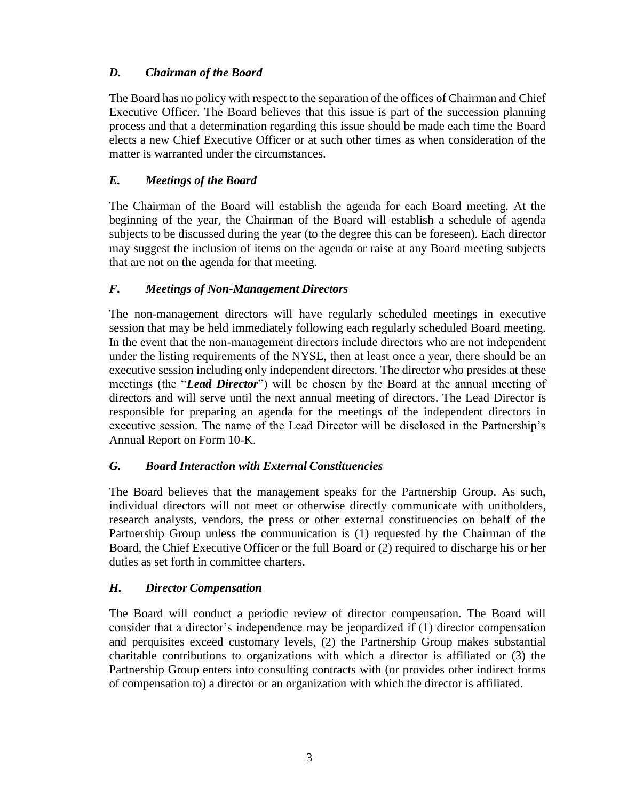## *D. Chairman of the Board*

The Board has no policy with respect to the separation of the offices of Chairman and Chief Executive Officer. The Board believes that this issue is part of the succession planning process and that a determination regarding this issue should be made each time the Board elects a new Chief Executive Officer or at such other times as when consideration of the matter is warranted under the circumstances.

## *E. Meetings of the Board*

The Chairman of the Board will establish the agenda for each Board meeting. At the beginning of the year, the Chairman of the Board will establish a schedule of agenda subjects to be discussed during the year (to the degree this can be foreseen). Each director may suggest the inclusion of items on the agenda or raise at any Board meeting subjects that are not on the agenda for that meeting.

### *F. Meetings of Non-Management Directors*

The non-management directors will have regularly scheduled meetings in executive session that may be held immediately following each regularly scheduled Board meeting. In the event that the non-management directors include directors who are not independent under the listing requirements of the NYSE, then at least once a year, there should be an executive session including only independent directors. The director who presides at these meetings (the "*Lead Director*") will be chosen by the Board at the annual meeting of directors and will serve until the next annual meeting of directors. The Lead Director is responsible for preparing an agenda for the meetings of the independent directors in executive session. The name of the Lead Director will be disclosed in the Partnership's Annual Report on Form 10-K.

### *G. Board Interaction with External Constituencies*

The Board believes that the management speaks for the Partnership Group. As such, individual directors will not meet or otherwise directly communicate with unitholders, research analysts, vendors, the press or other external constituencies on behalf of the Partnership Group unless the communication is (1) requested by the Chairman of the Board, the Chief Executive Officer or the full Board or (2) required to discharge his or her duties as set forth in committee charters.

### *H. Director Compensation*

The Board will conduct a periodic review of director compensation. The Board will consider that a director's independence may be jeopardized if (1) director compensation and perquisites exceed customary levels, (2) the Partnership Group makes substantial charitable contributions to organizations with which a director is affiliated or (3) the Partnership Group enters into consulting contracts with (or provides other indirect forms of compensation to) a director or an organization with which the director is affiliated.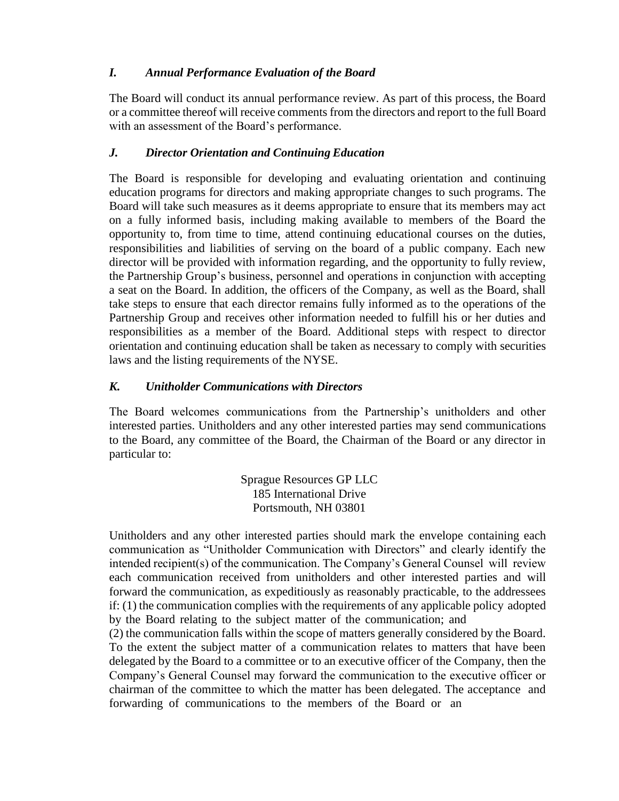## *I. Annual Performance Evaluation of the Board*

The Board will conduct its annual performance review. As part of this process, the Board or a committee thereof will receive comments from the directors and report to the full Board with an assessment of the Board's performance.

## *J. Director Orientation and Continuing Education*

The Board is responsible for developing and evaluating orientation and continuing education programs for directors and making appropriate changes to such programs. The Board will take such measures as it deems appropriate to ensure that its members may act on a fully informed basis, including making available to members of the Board the opportunity to, from time to time, attend continuing educational courses on the duties, responsibilities and liabilities of serving on the board of a public company. Each new director will be provided with information regarding, and the opportunity to fully review, the Partnership Group's business, personnel and operations in conjunction with accepting a seat on the Board. In addition, the officers of the Company, as well as the Board, shall take steps to ensure that each director remains fully informed as to the operations of the Partnership Group and receives other information needed to fulfill his or her duties and responsibilities as a member of the Board. Additional steps with respect to director orientation and continuing education shall be taken as necessary to comply with securities laws and the listing requirements of the NYSE.

## *K. Unitholder Communications with Directors*

The Board welcomes communications from the Partnership's unitholders and other interested parties. Unitholders and any other interested parties may send communications to the Board, any committee of the Board, the Chairman of the Board or any director in particular to:

> Sprague Resources GP LLC 185 International Drive Portsmouth, NH 03801

Unitholders and any other interested parties should mark the envelope containing each communication as "Unitholder Communication with Directors" and clearly identify the intended recipient(s) of the communication. The Company's General Counsel will review each communication received from unitholders and other interested parties and will forward the communication, as expeditiously as reasonably practicable, to the addressees if: (1) the communication complies with the requirements of any applicable policy adopted by the Board relating to the subject matter of the communication; and

(2) the communication falls within the scope of matters generally considered by the Board. To the extent the subject matter of a communication relates to matters that have been delegated by the Board to a committee or to an executive officer of the Company, then the Company's General Counsel may forward the communication to the executive officer or chairman of the committee to which the matter has been delegated. The acceptance and forwarding of communications to the members of the Board or an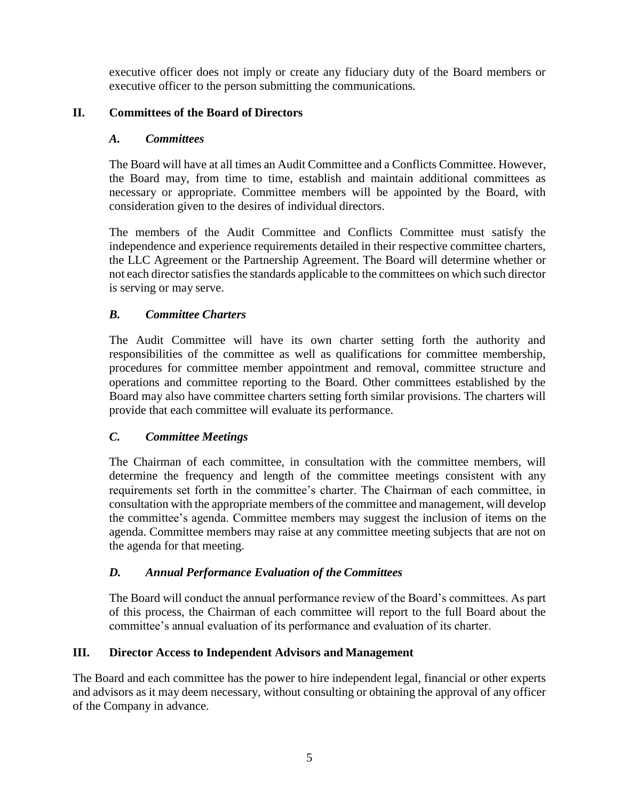executive officer does not imply or create any fiduciary duty of the Board members or executive officer to the person submitting the communications.

## **II. Committees of the Board of Directors**

## *A. Committees*

The Board will have at all times an Audit Committee and a Conflicts Committee. However, the Board may, from time to time, establish and maintain additional committees as necessary or appropriate. Committee members will be appointed by the Board, with consideration given to the desires of individual directors.

The members of the Audit Committee and Conflicts Committee must satisfy the independence and experience requirements detailed in their respective committee charters, the LLC Agreement or the Partnership Agreement. The Board will determine whether or not each director satisfies the standards applicable to the committees on which such director is serving or may serve.

# *B. Committee Charters*

The Audit Committee will have its own charter setting forth the authority and responsibilities of the committee as well as qualifications for committee membership, procedures for committee member appointment and removal, committee structure and operations and committee reporting to the Board. Other committees established by the Board may also have committee charters setting forth similar provisions. The charters will provide that each committee will evaluate its performance.

# *C. Committee Meetings*

The Chairman of each committee, in consultation with the committee members, will determine the frequency and length of the committee meetings consistent with any requirements set forth in the committee's charter. The Chairman of each committee, in consultation with the appropriate members of the committee and management, will develop the committee's agenda. Committee members may suggest the inclusion of items on the agenda. Committee members may raise at any committee meeting subjects that are not on the agenda for that meeting.

# *D. Annual Performance Evaluation of the Committees*

The Board will conduct the annual performance review of the Board's committees. As part of this process, the Chairman of each committee will report to the full Board about the committee's annual evaluation of its performance and evaluation of its charter.

### **III. Director Access to Independent Advisors and Management**

The Board and each committee has the power to hire independent legal, financial or other experts and advisors as it may deem necessary, without consulting or obtaining the approval of any officer of the Company in advance.